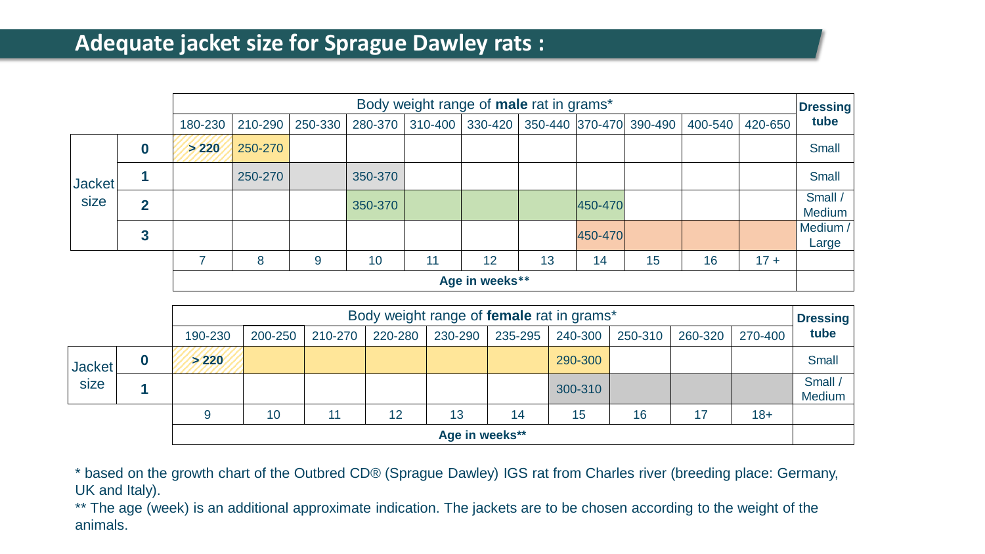## **Adequate jacket size for Sprague Dawley rats :**

|                |                  | Body weight range of male rat in grams*<br><b>Dressing</b> |         |         |         |    |                     |    |         |                         |         |         |                          |
|----------------|------------------|------------------------------------------------------------|---------|---------|---------|----|---------------------|----|---------|-------------------------|---------|---------|--------------------------|
|                |                  | 180-230                                                    | 210-290 | 250-330 | 280-370 |    | $310-400$   330-420 |    |         | 350-440 370-470 390-490 | 400-540 | 420-650 | tube                     |
|                | $\boldsymbol{0}$ | > 220                                                      | 250-270 |         |         |    |                     |    |         |                         |         |         | <b>Small</b>             |
| <b>Jacket</b>  |                  |                                                            | 250-270 |         | 350-370 |    |                     |    |         |                         |         |         | <b>Small</b>             |
| size           | $\overline{2}$   |                                                            |         |         | 350-370 |    |                     |    | 450-470 |                         |         |         | Small /<br><b>Medium</b> |
|                | 3                |                                                            |         |         |         |    |                     |    | 450-470 |                         |         |         | Medium /<br>Large        |
|                |                  |                                                            | 8       | 9       | 10      | 11 | 12                  | 13 | 14      | 15                      | 16      | $17 +$  |                          |
| Age in weeks** |                  |                                                            |         |         |         |    |                     |    |         |                         |         |         |                          |

|                             |                | Body weight range of female rat in grams*<br><b>Dressing</b> |                                                                                                 |    |    |    |    |         |    |    |       |                   |  |
|-----------------------------|----------------|--------------------------------------------------------------|-------------------------------------------------------------------------------------------------|----|----|----|----|---------|----|----|-------|-------------------|--|
|                             |                | 190-230                                                      | 220-280<br>235-295<br>250-310<br>260-320<br>200-250<br>240-300<br>230-290<br>210-270<br>270-400 |    |    |    |    |         |    |    | tube  |                   |  |
| Jacket <sup>'</sup><br>size |                | >220                                                         |                                                                                                 |    |    |    |    | 290-300 |    |    |       | <b>Small</b>      |  |
|                             |                |                                                              |                                                                                                 |    |    |    |    | 300-310 |    |    |       | Small /<br>Medium |  |
|                             |                |                                                              | 10                                                                                              | 11 | 12 | 13 | 14 | 15      | 16 | 17 | $18+$ |                   |  |
|                             | Age in weeks** |                                                              |                                                                                                 |    |    |    |    |         |    |    |       |                   |  |

\* based on the growth chart of the Outbred CD® (Sprague Dawley) IGS rat from Charles river (breeding place: Germany, UK and Italy).

\*\* The age (week) is an additional approximate indication. The jackets are to be chosen according to the weight of the animals.